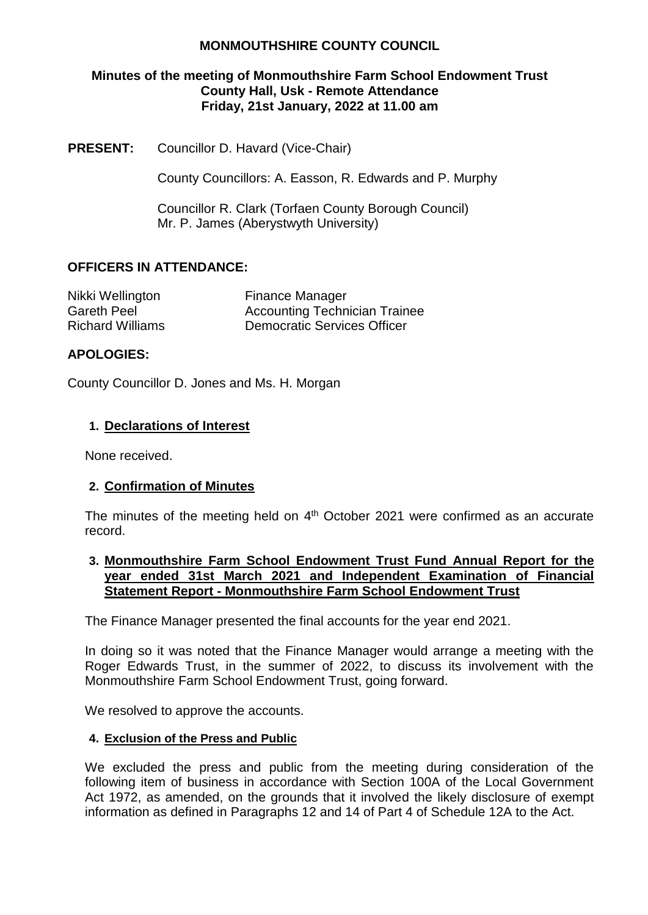# **MONMOUTHSHIRE COUNTY COUNCIL**

### **Minutes of the meeting of Monmouthshire Farm School Endowment Trust County Hall, Usk - Remote Attendance Friday, 21st January, 2022 at 11.00 am**

**PRESENT:** Councillor D. Havard (Vice-Chair)

County Councillors: A. Easson, R. Edwards and P. Murphy

Councillor R. Clark (Torfaen County Borough Council) Mr. P. James (Aberystwyth University)

# **OFFICERS IN ATTENDANCE:**

| Nikki Wellington        | <b>Finance Manager</b>               |
|-------------------------|--------------------------------------|
| <b>Gareth Peel</b>      | <b>Accounting Technician Trainee</b> |
| <b>Richard Williams</b> | <b>Democratic Services Officer</b>   |

## **APOLOGIES:**

County Councillor D. Jones and Ms. H. Morgan

## **1. Declarations of Interest**

None received.

### **2. Confirmation of Minutes**

The minutes of the meeting held on 4<sup>th</sup> October 2021 were confirmed as an accurate record.

### **3. Monmouthshire Farm School Endowment Trust Fund Annual Report for the year ended 31st March 2021 and Independent Examination of Financial Statement Report - Monmouthshire Farm School Endowment Trust**

The Finance Manager presented the final accounts for the year end 2021.

In doing so it was noted that the Finance Manager would arrange a meeting with the Roger Edwards Trust, in the summer of 2022, to discuss its involvement with the Monmouthshire Farm School Endowment Trust, going forward.

We resolved to approve the accounts.

### **4. Exclusion of the Press and Public**

We excluded the press and public from the meeting during consideration of the following item of business in accordance with Section 100A of the Local Government Act 1972, as amended, on the grounds that it involved the likely disclosure of exempt information as defined in Paragraphs 12 and 14 of Part 4 of Schedule 12A to the Act.